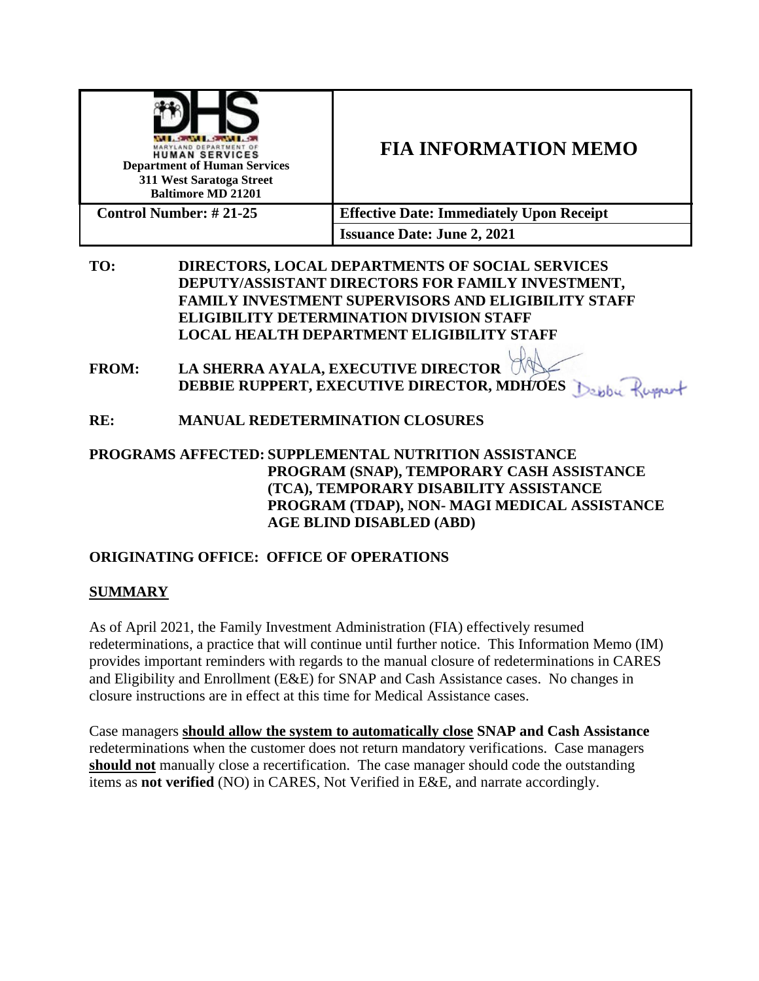| <b>MAN SERVICES</b><br><b>Department of Human Services</b><br>311 West Saratoga Street<br><b>Baltimore MD 21201</b>                                                                                                                                                                                                                                                                    |                                        | <b>FIA INFORMATION MEMO</b>                     |
|----------------------------------------------------------------------------------------------------------------------------------------------------------------------------------------------------------------------------------------------------------------------------------------------------------------------------------------------------------------------------------------|----------------------------------------|-------------------------------------------------|
| <b>Control Number: #21-25</b>                                                                                                                                                                                                                                                                                                                                                          |                                        | <b>Effective Date: Immediately Upon Receipt</b> |
|                                                                                                                                                                                                                                                                                                                                                                                        |                                        | <b>Issuance Date: June 2, 2021</b>              |
| TO:<br>DIRECTORS, LOCAL DEPARTMENTS OF SOCIAL SERVICES<br>DEPUTY/ASSISTANT DIRECTORS FOR FAMILY INVESTMENT,<br><b>FAMILY INVESTMENT SUPERVISORS AND ELIGIBILITY STAFF</b><br><b>ELIGIBILITY DETERMINATION DIVISION STAFF</b><br><b>LOCAL HEALTH DEPARTMENT ELIGIBILITY STAFF</b><br>LA SHERRA AYALA, EXECUTIVE DIRECTOR<br><b>FROM:</b><br>DEBBIE RUPPERT, EXECUTIVE DIRECTOR, MDH/OES |                                        |                                                 |
| RE:                                                                                                                                                                                                                                                                                                                                                                                    | <b>MANUAL REDETERMINATION CLOSURES</b> |                                                 |
| PROGRAMS AFFECTED: SUPPLEMENTAL NUTRITION ASSISTANCE<br>PROGRAM (SNAP), TEMPORARY CASH ASSISTANCE<br>(TCA), TEMPORARY DISABILITY ASSISTANCE<br>PROGRAM (TDAP), NON-MAGI MEDICAL ASSISTANCE<br><b>AGE BLIND DISABLED (ABD)</b>                                                                                                                                                          |                                        |                                                 |

## **ORIGINATING OFFICE: OFFICE OF OPERATIONS**

## **SUMMARY**

As of April 2021, the Family Investment Administration (FIA) effectively resumed redeterminations, a practice that will continue until further notice. This Information Memo (IM) provides important reminders with regards to the manual closure of redeterminations in CARES and Eligibility and Enrollment (E&E) for SNAP and Cash Assistance cases. No changes in closure instructions are in effect at this time for Medical Assistance cases.

Case managers **should allow the system to automatically close SNAP and Cash Assistance**  redeterminations when the customer does not return mandatory verifications. Case managers **should not** manually close a recertification. The case manager should code the outstanding items as **not verified** (NO) in CARES, Not Verified in E&E, and narrate accordingly.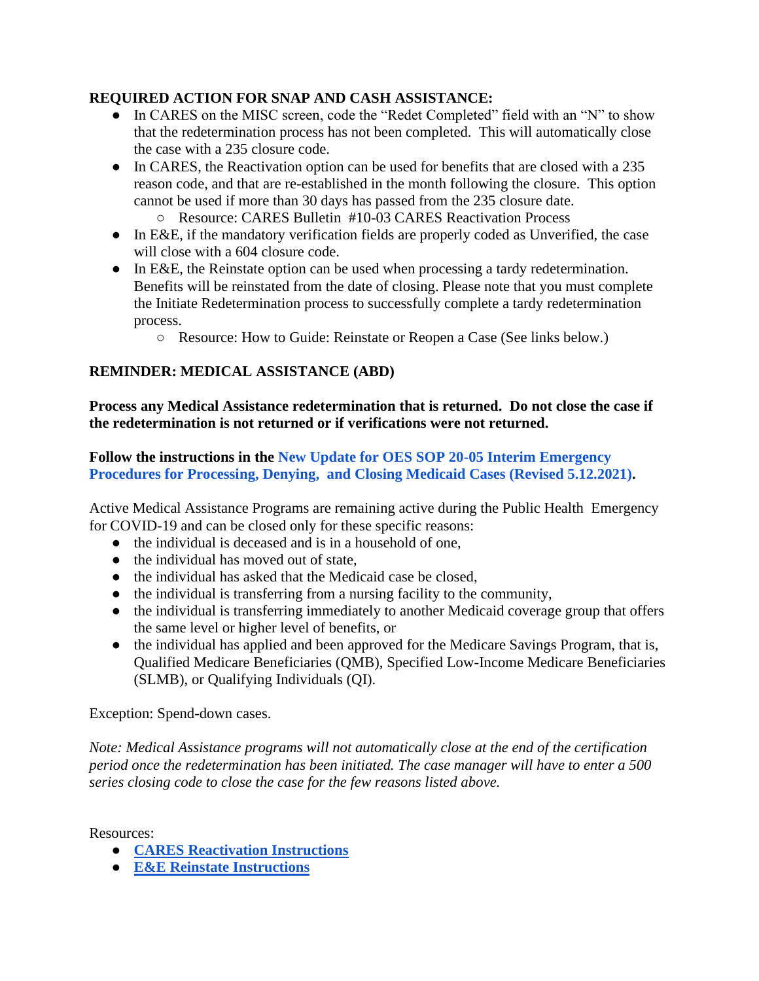## **REQUIRED ACTION FOR SNAP AND CASH ASSISTANCE:**

- In CARES on the MISC screen, code the "Redet Completed" field with an "N" to show that the redetermination process has not been completed. This will automatically close the case with a 235 closure code.
- In CARES, the Reactivation option can be used for benefits that are closed with a 235 reason code, and that are re-established in the month following the closure. This option cannot be used if more than 30 days has passed from the 235 closure date.
	- Resource: CARES Bulletin #10-03 CARES Reactivation Process
- In E&E, if the mandatory verification fields are properly coded as Unverified, the case will close with a 604 closure code.
- In E&E, the Reinstate option can be used when processing a tardy redetermination. Benefits will be reinstated from the date of closing. Please note that you must complete the Initiate Redetermination process to successfully complete a tardy redetermination process.
	- Resource: How to Guide: Reinstate or Reopen a Case (See links below.)

## **REMINDER: MEDICAL ASSISTANCE (ABD)**

**Process any Medical Assistance redetermination that is returned. Do not close the case if the redetermination is not returned or if verifications were not returned.** 

**Follow the instructions in the [New Update for OES SOP 20-05 Interim Emergency](https://drive.google.com/file/d/1X1hwcRoQN8kUQqVadNVo-DH9GeDyrWsD/view?usp=sharing)  [Procedures for Processing, Denying, and Closing Medicaid Cases \(Revised 5.12.2021\).](https://drive.google.com/file/d/1X1hwcRoQN8kUQqVadNVo-DH9GeDyrWsD/view?usp=sharing)** 

Active Medical Assistance Programs are remaining active during the Public Health Emergency for COVID-19 and can be closed only for these specific reasons:

- the individual is deceased and is in a household of one,
- the individual has moved out of state.
- the individual has asked that the Medicaid case be closed,
- the individual is transferring from a nursing facility to the community,
- the individual is transferring immediately to another Medicaid coverage group that offers the same level or higher level of benefits, or
- the individual has applied and been approved for the Medicare Savings Program, that is, Qualified Medicare Beneficiaries (QMB), Specified Low-Income Medicare Beneficiaries (SLMB), or Qualifying Individuals (QI).

Exception: Spend-down cases.

*Note: Medical Assistance programs will not automatically close at the end of the certification period once the redetermination has been initiated. The case manager will have to enter a 500 series closing code to close the case for the few reasons listed above.* 

Resources:

- **[CARES Reactivation Instructions](https://drive.google.com/file/d/1NZU-D2fhibLIwDNMWjDEmT4M945gjgey/view?usp=sharing)**
- **[E&E Reinstate](https://drive.google.com/file/d/1D52VNDX5uUx0MRn7RgJiUkUr2K1NtJAK/view?usp=sharing) Instructions**